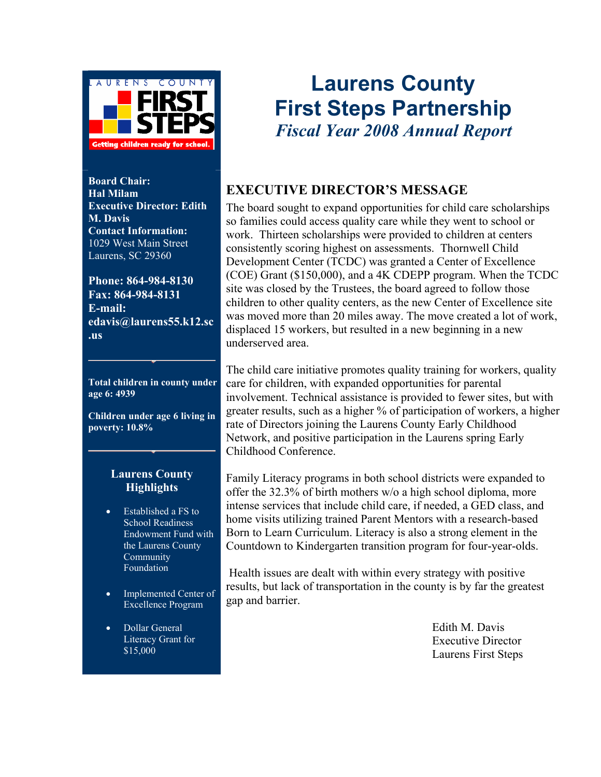

**Board Chair: Hal Milam Executive Director: Edith M. Davis Contact Information:**  1029 West Main Street Laurens, SC 29360

**Phone: 864-984-8130 Fax: 864-984-8131 E-mail: edavis@laurens55.k12.sc .us** 

**Total children in county under age 6: 4939**

**Children under age 6 living in poverty: 10.8%** 

#### **Laurens County Highlights**

- Established a FS to School Readiness Endowment Fund with the Laurens County Community Foundation
- Implemented Center of Excellence Program
- Dollar General Literacy Grant for \$15,000

## **Laurens County First Steps Partnership**  *Fiscal Year 2008 Annual Report*

## **EXECUTIVE DIRECTOR'S MESSAGE**

The board sought to expand opportunities for child care scholarships so families could access quality care while they went to school or work. Thirteen scholarships were provided to children at centers consistently scoring highest on assessments. Thornwell Child Development Center (TCDC) was granted a Center of Excellence (COE) Grant (\$150,000), and a 4K CDEPP program. When the TCDC site was closed by the Trustees, the board agreed to follow those children to other quality centers, as the new Center of Excellence site was moved more than 20 miles away. The move created a lot of work, displaced 15 workers, but resulted in a new beginning in a new underserved area.

The child care initiative promotes quality training for workers, quality care for children, with expanded opportunities for parental involvement. Technical assistance is provided to fewer sites, but with greater results, such as a higher % of participation of workers, a higher rate of Directors joining the Laurens County Early Childhood Network, and positive participation in the Laurens spring Early Childhood Conference.

Family Literacy programs in both school districts were expanded to offer the 32.3% of birth mothers w/o a high school diploma, more intense services that include child care, if needed, a GED class, and home visits utilizing trained Parent Mentors with a research-based Born to Learn Curriculum. Literacy is also a strong element in the Countdown to Kindergarten transition program for four-year-olds.

 Health issues are dealt with within every strategy with positive results, but lack of transportation in the county is by far the greatest gap and barrier.

> Edith M. Davis Executive Director Laurens First Steps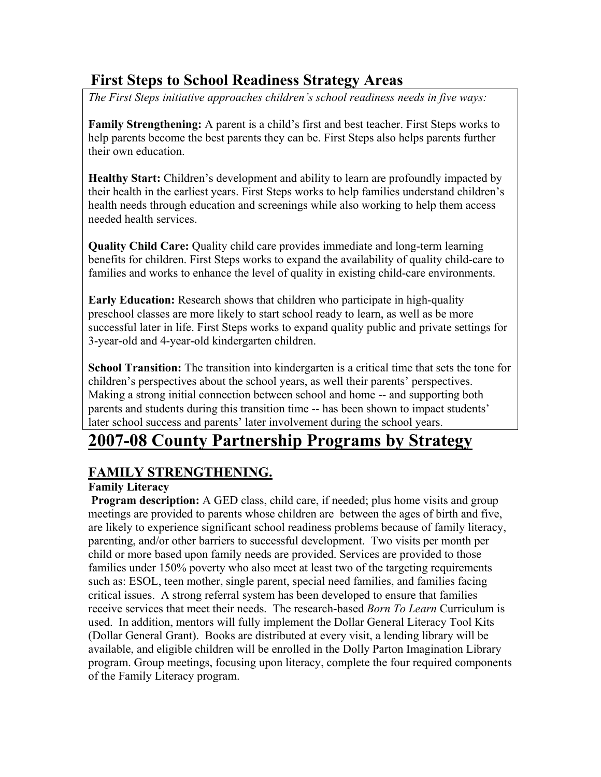## **First Steps to School Readiness Strategy Areas**

*The First Steps initiative approaches children's school readiness needs in five ways:* 

**Family Strengthening:** A parent is a child's first and best teacher. First Steps works to help parents become the best parents they can be. First Steps also helps parents further their own education.

**Healthy Start:** Children's development and ability to learn are profoundly impacted by their health in the earliest years. First Steps works to help families understand children's health needs through education and screenings while also working to help them access needed health services.

**Quality Child Care:** Quality child care provides immediate and long-term learning benefits for children. First Steps works to expand the availability of quality child-care to families and works to enhance the level of quality in existing child-care environments.

**Early Education:** Research shows that children who participate in high-quality preschool classes are more likely to start school ready to learn, as well as be more successful later in life. First Steps works to expand quality public and private settings for 3-year-old and 4-year-old kindergarten children.

**School Transition:** The transition into kindergarten is a critical time that sets the tone for children's perspectives about the school years, as well their parents' perspectives. Making a strong initial connection between school and home -- and supporting both parents and students during this transition time -- has been shown to impact students' later school success and parents' later involvement during the school years.

## **2007-08 County Partnership Programs by Strategy**

## **FAMILY STRENGTHENING.**

## **Family Literacy**

**Program description:** A GED class, child care, if needed; plus home visits and group meetings are provided to parents whose children are between the ages of birth and five, are likely to experience significant school readiness problems because of family literacy, parenting, and/or other barriers to successful development. Two visits per month per child or more based upon family needs are provided. Services are provided to those families under 150% poverty who also meet at least two of the targeting requirements such as: ESOL, teen mother, single parent, special need families, and families facing critical issues. A strong referral system has been developed to ensure that families receive services that meet their needs. The research-based *Born To Learn* Curriculum is used. In addition, mentors will fully implement the Dollar General Literacy Tool Kits (Dollar General Grant). Books are distributed at every visit, a lending library will be available, and eligible children will be enrolled in the Dolly Parton Imagination Library program. Group meetings, focusing upon literacy, complete the four required components of the Family Literacy program.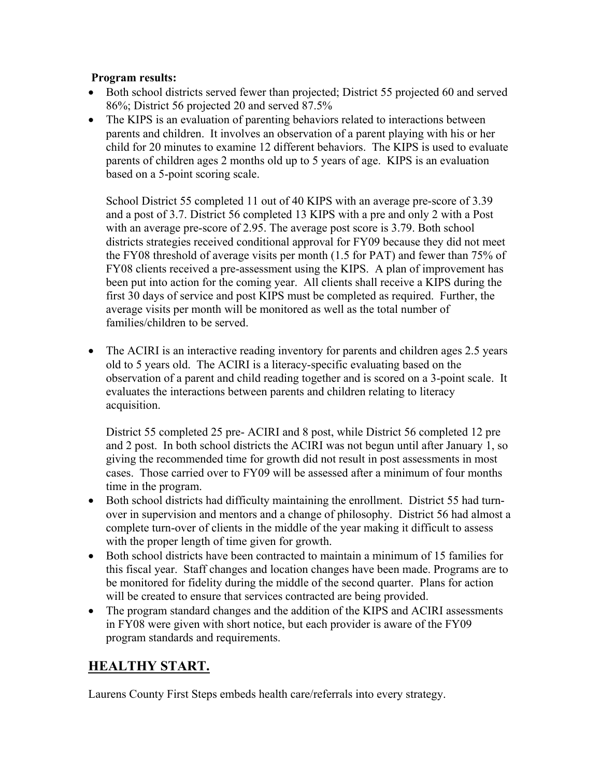#### **Program results:**

- Both school districts served fewer than projected; District 55 projected 60 and served 86%; District 56 projected 20 and served 87.5%
- The KIPS is an evaluation of parenting behaviors related to interactions between parents and children. It involves an observation of a parent playing with his or her child for 20 minutes to examine 12 different behaviors. The KIPS is used to evaluate parents of children ages 2 months old up to 5 years of age. KIPS is an evaluation based on a 5-point scoring scale.

School District 55 completed 11 out of 40 KIPS with an average pre-score of 3.39 and a post of 3.7. District 56 completed 13 KIPS with a pre and only 2 with a Post with an average pre-score of 2.95. The average post score is 3.79. Both school districts strategies received conditional approval for FY09 because they did not meet the FY08 threshold of average visits per month (1.5 for PAT) and fewer than 75% of FY08 clients received a pre-assessment using the KIPS. A plan of improvement has been put into action for the coming year. All clients shall receive a KIPS during the first 30 days of service and post KIPS must be completed as required. Further, the average visits per month will be monitored as well as the total number of families/children to be served.

• The ACIRI is an interactive reading inventory for parents and children ages 2.5 years old to 5 years old. The ACIRI is a literacy-specific evaluating based on the observation of a parent and child reading together and is scored on a 3-point scale. It evaluates the interactions between parents and children relating to literacy acquisition.

District 55 completed 25 pre- ACIRI and 8 post, while District 56 completed 12 pre and 2 post. In both school districts the ACIRI was not begun until after January 1, so giving the recommended time for growth did not result in post assessments in most cases. Those carried over to FY09 will be assessed after a minimum of four months time in the program.

- Both school districts had difficulty maintaining the enrollment. District 55 had turnover in supervision and mentors and a change of philosophy. District 56 had almost a complete turn-over of clients in the middle of the year making it difficult to assess with the proper length of time given for growth.
- Both school districts have been contracted to maintain a minimum of 15 families for this fiscal year. Staff changes and location changes have been made. Programs are to be monitored for fidelity during the middle of the second quarter. Plans for action will be created to ensure that services contracted are being provided.
- The program standard changes and the addition of the KIPS and ACIRI assessments in FY08 were given with short notice, but each provider is aware of the FY09 program standards and requirements.

## **HEALTHY START.**

Laurens County First Steps embeds health care/referrals into every strategy.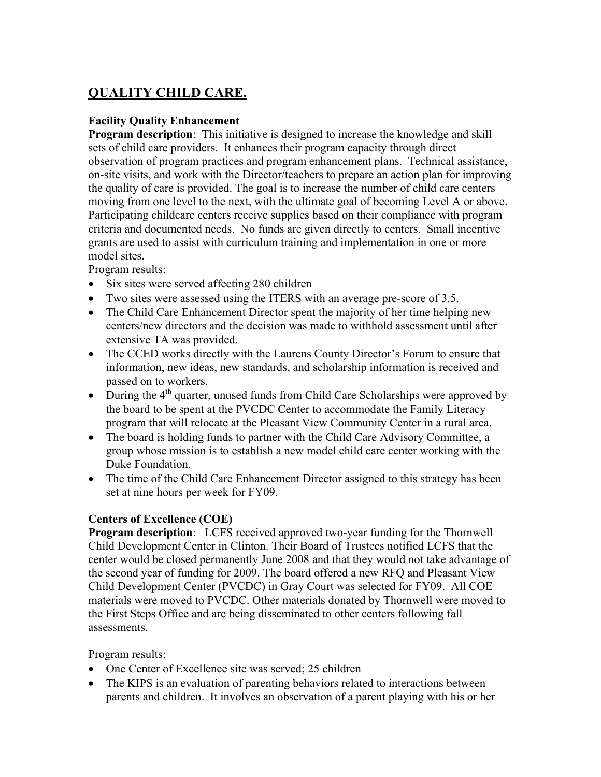## **QUALITY CHILD CARE.**

## **Facility Quality Enhancement**

**Program description**: This initiative is designed to increase the knowledge and skill sets of child care providers. It enhances their program capacity through direct observation of program practices and program enhancement plans. Technical assistance, on-site visits, and work with the Director/teachers to prepare an action plan for improving the quality of care is provided. The goal is to increase the number of child care centers moving from one level to the next, with the ultimate goal of becoming Level A or above. Participating childcare centers receive supplies based on their compliance with program criteria and documented needs. No funds are given directly to centers. Small incentive grants are used to assist with curriculum training and implementation in one or more model sites.

Program results:

- Six sites were served affecting 280 children
- Two sites were assessed using the ITERS with an average pre-score of 3.5.
- The Child Care Enhancement Director spent the majority of her time helping new centers/new directors and the decision was made to withhold assessment until after extensive TA was provided.
- The CCED works directly with the Laurens County Director's Forum to ensure that information, new ideas, new standards, and scholarship information is received and passed on to workers.
- During the  $4<sup>th</sup>$  quarter, unused funds from Child Care Scholarships were approved by the board to be spent at the PVCDC Center to accommodate the Family Literacy program that will relocate at the Pleasant View Community Center in a rural area.
- The board is holding funds to partner with the Child Care Advisory Committee, a group whose mission is to establish a new model child care center working with the Duke Foundation.
- The time of the Child Care Enhancement Director assigned to this strategy has been set at nine hours per week for FY09.

### **Centers of Excellence (COE)**

**Program description**: LCFS received approved two-year funding for the Thornwell Child Development Center in Clinton. Their Board of Trustees notified LCFS that the center would be closed permanently June 2008 and that they would not take advantage of the second year of funding for 2009. The board offered a new RFQ and Pleasant View Child Development Center (PVCDC) in Gray Court was selected for FY09. All COE materials were moved to PVCDC. Other materials donated by Thornwell were moved to the First Steps Office and are being disseminated to other centers following fall assessments.

Program results:

- One Center of Excellence site was served; 25 children
- The KIPS is an evaluation of parenting behaviors related to interactions between parents and children. It involves an observation of a parent playing with his or her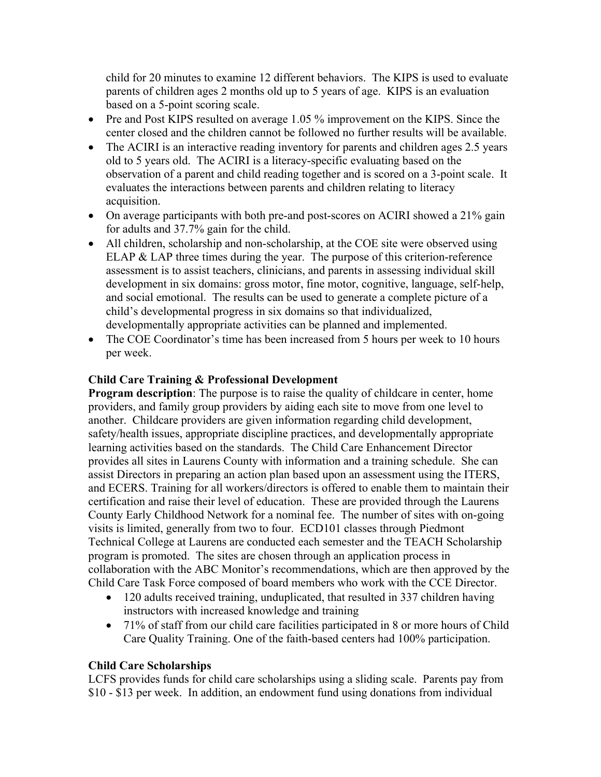child for 20 minutes to examine 12 different behaviors. The KIPS is used to evaluate parents of children ages 2 months old up to 5 years of age. KIPS is an evaluation based on a 5-point scoring scale.

- Pre and Post KIPS resulted on average 1.05 % improvement on the KIPS. Since the center closed and the children cannot be followed no further results will be available.
- The ACIRI is an interactive reading inventory for parents and children ages 2.5 years old to 5 years old. The ACIRI is a literacy-specific evaluating based on the observation of a parent and child reading together and is scored on a 3-point scale. It evaluates the interactions between parents and children relating to literacy acquisition.
- On average participants with both pre-and post-scores on ACIRI showed a 21% gain for adults and 37.7% gain for the child.
- All children, scholarship and non-scholarship, at the COE site were observed using ELAP & LAP three times during the year. The purpose of this criterion-reference assessment is to assist teachers, clinicians, and parents in assessing individual skill development in six domains: gross motor, fine motor, cognitive, language, self-help, and social emotional. The results can be used to generate a complete picture of a child's developmental progress in six domains so that individualized, developmentally appropriate activities can be planned and implemented.
- The COE Coordinator's time has been increased from 5 hours per week to 10 hours per week.

## **Child Care Training & Professional Development**

**Program description**: The purpose is to raise the quality of childcare in center, home providers, and family group providers by aiding each site to move from one level to another. Childcare providers are given information regarding child development, safety/health issues, appropriate discipline practices, and developmentally appropriate learning activities based on the standards. The Child Care Enhancement Director provides all sites in Laurens County with information and a training schedule. She can assist Directors in preparing an action plan based upon an assessment using the ITERS, and ECERS. Training for all workers/directors is offered to enable them to maintain their certification and raise their level of education. These are provided through the Laurens County Early Childhood Network for a nominal fee. The number of sites with on-going visits is limited, generally from two to four. ECD101 classes through Piedmont Technical College at Laurens are conducted each semester and the TEACH Scholarship program is promoted. The sites are chosen through an application process in collaboration with the ABC Monitor's recommendations, which are then approved by the Child Care Task Force composed of board members who work with the CCE Director.

- 120 adults received training, unduplicated, that resulted in 337 children having instructors with increased knowledge and training
- 71% of staff from our child care facilities participated in 8 or more hours of Child Care Quality Training. One of the faith-based centers had 100% participation.

#### **Child Care Scholarships**

LCFS provides funds for child care scholarships using a sliding scale. Parents pay from \$10 - \$13 per week. In addition, an endowment fund using donations from individual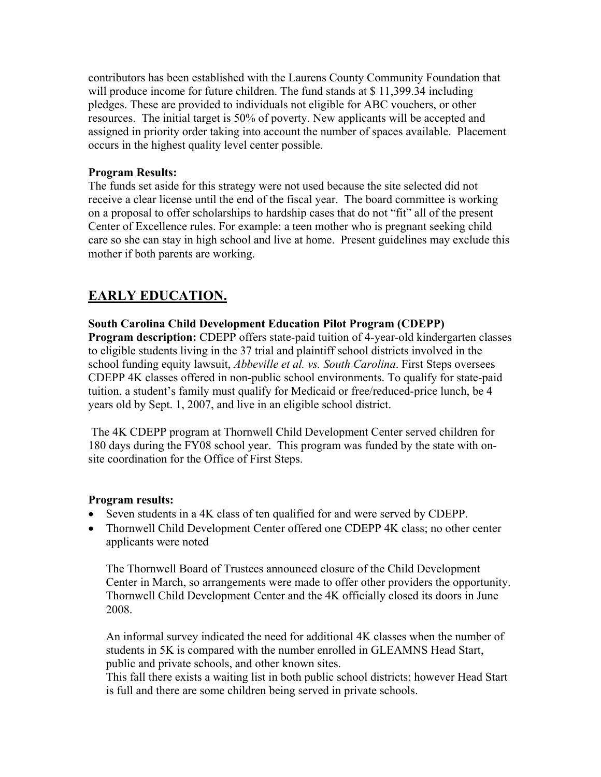contributors has been established with the Laurens County Community Foundation that will produce income for future children. The fund stands at \$11,399.34 including pledges. These are provided to individuals not eligible for ABC vouchers, or other resources. The initial target is 50% of poverty. New applicants will be accepted and assigned in priority order taking into account the number of spaces available. Placement occurs in the highest quality level center possible.

#### **Program Results:**

The funds set aside for this strategy were not used because the site selected did not receive a clear license until the end of the fiscal year. The board committee is working on a proposal to offer scholarships to hardship cases that do not "fit" all of the present Center of Excellence rules. For example: a teen mother who is pregnant seeking child care so she can stay in high school and live at home. Present guidelines may exclude this mother if both parents are working.

## **EARLY EDUCATION.**

### **South Carolina Child Development Education Pilot Program (CDEPP)**

**Program description:** CDEPP offers state-paid tuition of 4-year-old kindergarten classes to eligible students living in the 37 trial and plaintiff school districts involved in the school funding equity lawsuit, *Abbeville et al. vs. South Carolina*. First Steps oversees CDEPP 4K classes offered in non-public school environments. To qualify for state-paid tuition, a student's family must qualify for Medicaid or free/reduced-price lunch, be 4 years old by Sept. 1, 2007, and live in an eligible school district.

 The 4K CDEPP program at Thornwell Child Development Center served children for 180 days during the FY08 school year. This program was funded by the state with onsite coordination for the Office of First Steps.

### **Program results:**

- Seven students in a 4K class of ten qualified for and were served by CDEPP.
- Thornwell Child Development Center offered one CDEPP 4K class; no other center applicants were noted

The Thornwell Board of Trustees announced closure of the Child Development Center in March, so arrangements were made to offer other providers the opportunity. Thornwell Child Development Center and the 4K officially closed its doors in June 2008.

An informal survey indicated the need for additional 4K classes when the number of students in 5K is compared with the number enrolled in GLEAMNS Head Start, public and private schools, and other known sites.

This fall there exists a waiting list in both public school districts; however Head Start is full and there are some children being served in private schools.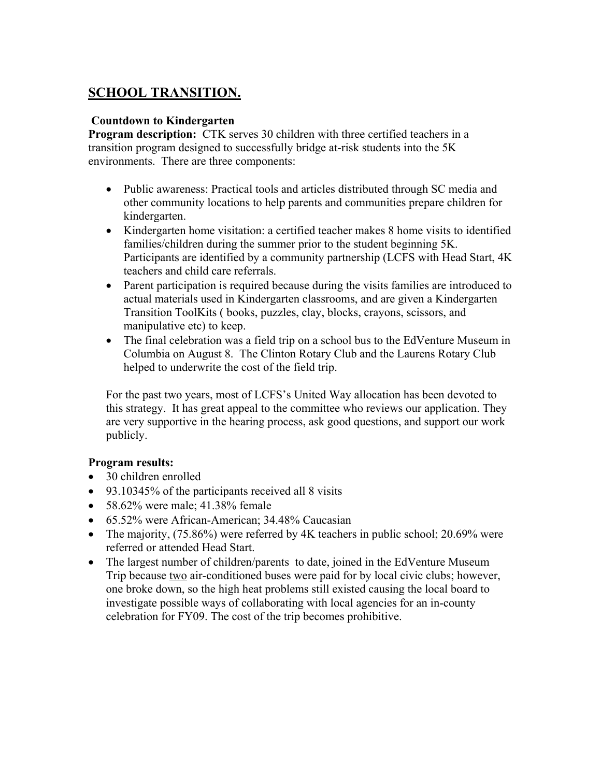## **SCHOOL TRANSITION.**

## **Countdown to Kindergarten**

**Program description:** CTK serves 30 children with three certified teachers in a transition program designed to successfully bridge at-risk students into the 5K environments. There are three components:

- Public awareness: Practical tools and articles distributed through SC media and other community locations to help parents and communities prepare children for kindergarten.
- Kindergarten home visitation: a certified teacher makes 8 home visits to identified families/children during the summer prior to the student beginning 5K. Participants are identified by a community partnership (LCFS with Head Start, 4K teachers and child care referrals.
- Parent participation is required because during the visits families are introduced to actual materials used in Kindergarten classrooms, and are given a Kindergarten Transition ToolKits ( books, puzzles, clay, blocks, crayons, scissors, and manipulative etc) to keep.
- The final celebration was a field trip on a school bus to the EdVenture Museum in Columbia on August 8. The Clinton Rotary Club and the Laurens Rotary Club helped to underwrite the cost of the field trip.

For the past two years, most of LCFS's United Way allocation has been devoted to this strategy. It has great appeal to the committee who reviews our application. They are very supportive in the hearing process, ask good questions, and support our work publicly.

## **Program results:**

- 30 children enrolled
- 93.10345% of the participants received all 8 visits
- $58.62\%$  were male;  $41.38\%$  female
- 65.52% were African-American: 34.48% Caucasian
- The majority, (75.86%) were referred by 4K teachers in public school; 20.69% were referred or attended Head Start.
- The largest number of children/parents to date, joined in the EdVenture Museum Trip because two air-conditioned buses were paid for by local civic clubs; however, one broke down, so the high heat problems still existed causing the local board to investigate possible ways of collaborating with local agencies for an in-county celebration for FY09. The cost of the trip becomes prohibitive.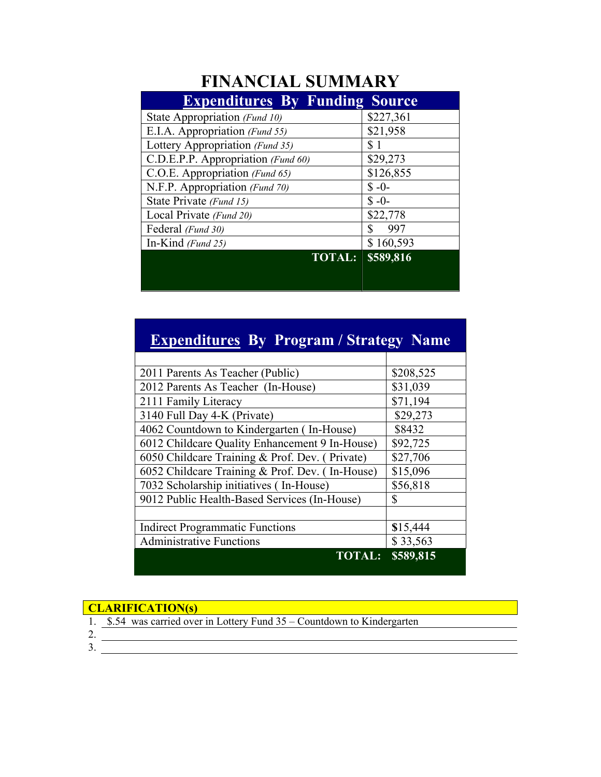## **FINANCIAL SUMMARY**

| <b>Expenditures By Funding Source</b> |           |
|---------------------------------------|-----------|
| State Appropriation (Fund 10)         | \$227,361 |
| E.I.A. Appropriation (Fund 55)        | \$21,958  |
| Lottery Appropriation (Fund 35)       | \$1       |
| C.D.E.P.P. Appropriation (Fund 60)    | \$29,273  |
| C.O.E. Appropriation (Fund 65)        | \$126,855 |
| N.F.P. Appropriation (Fund 70)        | $$ -0-$   |
| State Private (Fund 15)               | $$ -0-$   |
| Local Private (Fund 20)               | \$22,778  |
| Federal (Fund 30)                     | 997       |
| In-Kind (Fund 25)                     | \$160,593 |
| <b>TOTAL:</b>                         | \$589,816 |
|                                       |           |
|                                       |           |

| <b>Expenditures By Program / Strategy Name</b>  |           |  |  |
|-------------------------------------------------|-----------|--|--|
|                                                 |           |  |  |
| 2011 Parents As Teacher (Public)                | \$208,525 |  |  |
| 2012 Parents As Teacher (In-House)              | \$31,039  |  |  |
| 2111 Family Literacy                            | \$71,194  |  |  |
| 3140 Full Day 4-K (Private)                     | \$29,273  |  |  |
| 4062 Countdown to Kindergarten (In-House)       | \$8432    |  |  |
| 6012 Childcare Quality Enhancement 9 In-House)  | \$92,725  |  |  |
| 6050 Childcare Training & Prof. Dev. (Private)  | \$27,706  |  |  |
| 6052 Childcare Training & Prof. Dev. (In-House) | \$15,096  |  |  |
| 7032 Scholarship initiatives (In-House)         | \$56,818  |  |  |
| 9012 Public Health-Based Services (In-House)    | \$        |  |  |
|                                                 |           |  |  |
| <b>Indirect Programmatic Functions</b>          | \$15,444  |  |  |
| <b>Administrative Functions</b>                 | \$33,563  |  |  |
| <b>TOTAL:</b>                                   | \$589,815 |  |  |

#### **CLARIFICATION(s)**

- 1. \$.54 was carried over in Lottery Fund 35 Countdown to Kindergarten
- 2.
- 3.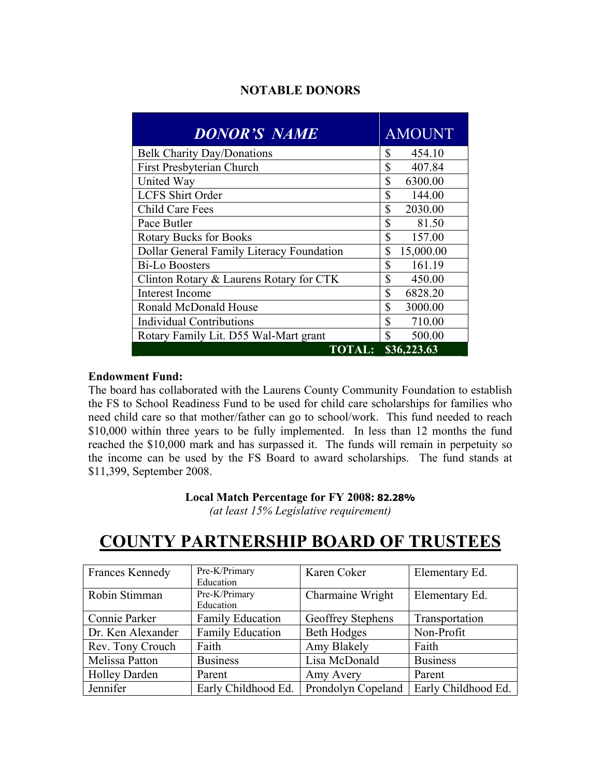## **NOTABLE DONORS**

| <b>DONOR'S NAME</b>                       | <b>AMOUNT</b>   |
|-------------------------------------------|-----------------|
| <b>Belk Charity Day/Donations</b>         | 454.10<br>\$    |
| First Presbyterian Church                 | \$<br>407.84    |
| United Way                                | \$<br>6300.00   |
| <b>LCFS Shirt Order</b>                   | \$<br>144.00    |
| <b>Child Care Fees</b>                    | \$<br>2030.00   |
| Pace Butler                               | \$<br>81.50     |
| <b>Rotary Bucks for Books</b>             | \$<br>157.00    |
| Dollar General Family Literacy Foundation | \$<br>15,000.00 |
| <b>Bi-Lo Boosters</b>                     | \$<br>161.19    |
| Clinton Rotary & Laurens Rotary for CTK   | \$<br>450.00    |
| Interest Income                           | \$<br>6828.20   |
| Ronald McDonald House                     | \$<br>3000.00   |
| <b>Individual Contributions</b>           | \$<br>710.00    |
| Rotary Family Lit. D55 Wal-Mart grant     | \$<br>500.00    |
| <b>TOTAL:</b>                             | \$36,223.63     |

#### **Endowment Fund:**

The board has collaborated with the Laurens County Community Foundation to establish the FS to School Readiness Fund to be used for child care scholarships for families who need child care so that mother/father can go to school/work. This fund needed to reach \$10,000 within three years to be fully implemented. In less than 12 months the fund reached the \$10,000 mark and has surpassed it. The funds will remain in perpetuity so the income can be used by the FS Board to award scholarships. The fund stands at \$11,399, September 2008.

#### **Local Match Percentage for FY 2008: 82.28%**

*(at least 15% Legislative requirement)* 

## **COUNTY PARTNERSHIP BOARD OF TRUSTEES**

| <b>Frances Kennedy</b> | Pre-K/Primary           | Karen Coker        | Elementary Ed.      |
|------------------------|-------------------------|--------------------|---------------------|
|                        | Education               |                    |                     |
| Robin Stimman          | Pre-K/Primary           | Charmaine Wright   | Elementary Ed.      |
|                        | Education               |                    |                     |
| Connie Parker          | <b>Family Education</b> | Geoffrey Stephens  | Transportation      |
| Dr. Ken Alexander      | <b>Family Education</b> | <b>Beth Hodges</b> | Non-Profit          |
| Rev. Tony Crouch       | Faith                   | Amy Blakely        | Faith               |
| Melissa Patton         | <b>Business</b>         | Lisa McDonald      | <b>Business</b>     |
| <b>Holley Darden</b>   | Parent                  | Amy Avery          | Parent              |
| Jennifer               | Early Childhood Ed.     | Prondolyn Copeland | Early Childhood Ed. |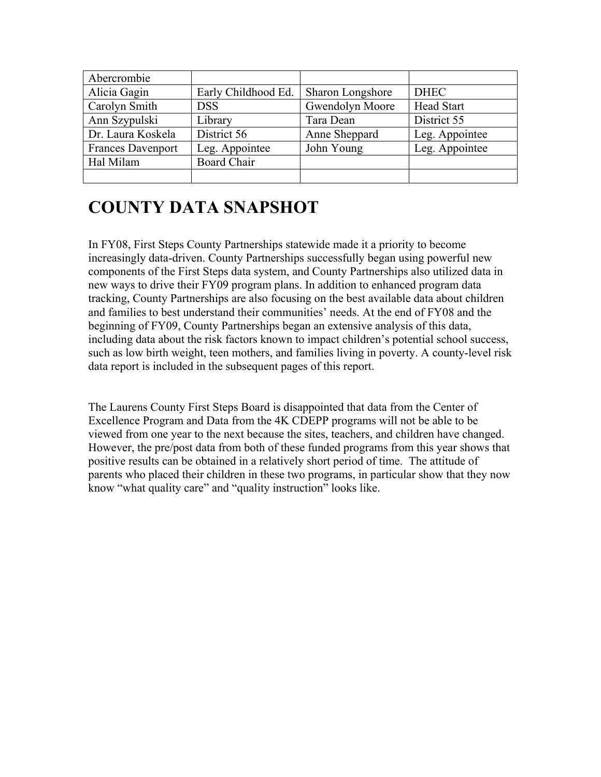| Abercrombie              |                     |                  |                   |
|--------------------------|---------------------|------------------|-------------------|
| Alicia Gagin             | Early Childhood Ed. | Sharon Longshore | <b>DHEC</b>       |
| Carolyn Smith            | <b>DSS</b>          | Gwendolyn Moore  | <b>Head Start</b> |
| Ann Szypulski            | Library             | Tara Dean        | District 55       |
| Dr. Laura Koskela        | District 56         | Anne Sheppard    | Leg. Appointee    |
| <b>Frances Davenport</b> | Leg. Appointee      | John Young       | Leg. Appointee    |
| Hal Milam                | <b>Board Chair</b>  |                  |                   |
|                          |                     |                  |                   |

## **COUNTY DATA SNAPSHOT**

In FY08, First Steps County Partnerships statewide made it a priority to become increasingly data-driven. County Partnerships successfully began using powerful new components of the First Steps data system, and County Partnerships also utilized data in new ways to drive their FY09 program plans. In addition to enhanced program data tracking, County Partnerships are also focusing on the best available data about children and families to best understand their communities' needs. At the end of FY08 and the beginning of FY09, County Partnerships began an extensive analysis of this data, including data about the risk factors known to impact children's potential school success, such as low birth weight, teen mothers, and families living in poverty. A county-level risk data report is included in the subsequent pages of this report.

The Laurens County First Steps Board is disappointed that data from the Center of Excellence Program and Data from the 4K CDEPP programs will not be able to be viewed from one year to the next because the sites, teachers, and children have changed. However, the pre/post data from both of these funded programs from this year shows that positive results can be obtained in a relatively short period of time. The attitude of parents who placed their children in these two programs, in particular show that they now know "what quality care" and "quality instruction" looks like.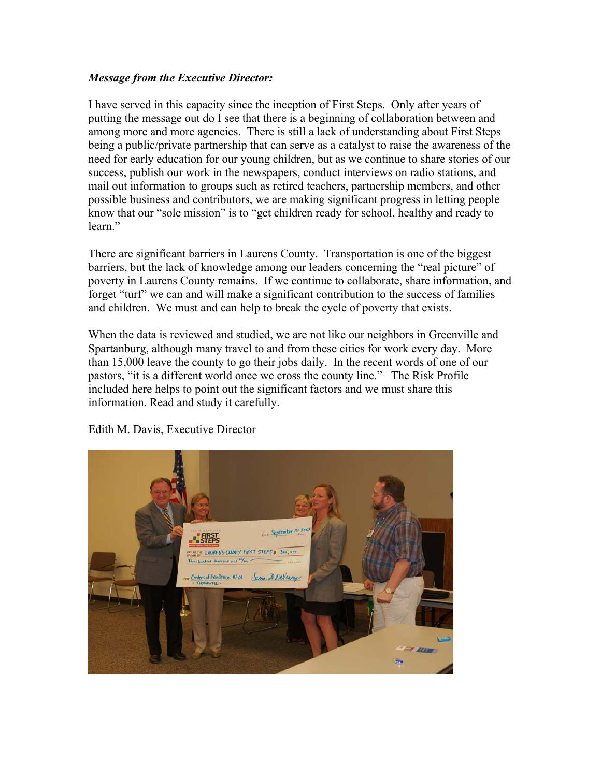#### *Message from the Executive Director:*

I have served in this capacity since the inception of First Steps. Only after years of putting the message out do I see that there is a beginning of collaboration between and among more and more agencies. There is still a lack of understanding about First Steps being a public/private partnership that can serve as a catalyst to raise the awareness of the need for early education for our young children, but as we continue to share stories of our success, publish our work in the newspapers, conduct interviews on radio stations, and mail out information to groups such as retired teachers, partnership members, and other possible business and contributors, we are making significant progress in letting people know that our "sole mission" is to "get children ready for school, healthy and ready to learn"

There are significant barriers in Laurens County. Transportation is one of the biggest barriers, but the lack of knowledge among our leaders concerning the "real picture" of poverty in Laurens County remains. If we continue to collaborate, share information, and forget "turf" we can and will make a significant contribution to the success of families and children. We must and can help to break the cycle of poverty that exists.

When the data is reviewed and studied, we are not like our neighbors in Greenville and Spartanburg, although many travel to and from these cities for work every day. More than 15,000 leave the county to go their jobs daily. In the recent words of one of our pastors, "it is a different world once we cross the county line." The Risk Profile included here helps to point out the significant factors and we must share this information. Read and study it carefully.



Edith M. Davis, Executive Director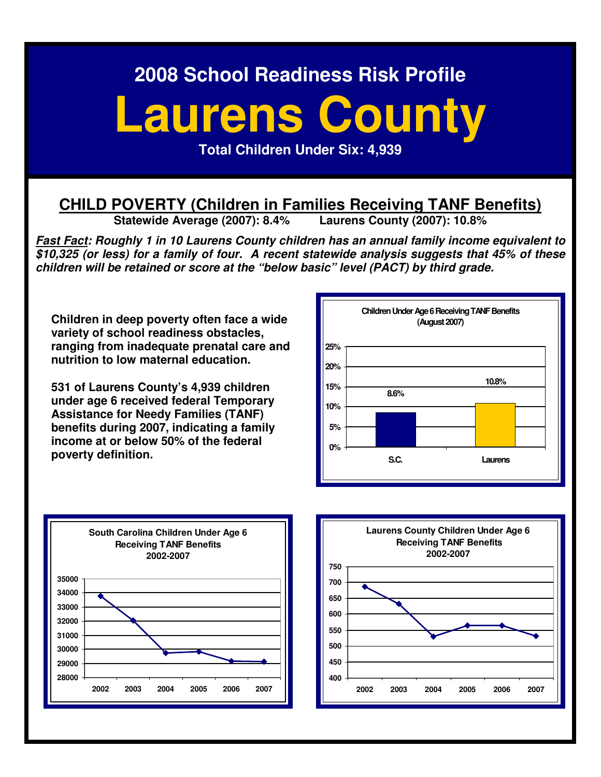# **Laurens County**

**Total Children Under Six: 4,939** 

## **CHILD POVERTY (Children in Families Receiving TANF Benefits)**<br>Statewide Average (2007): 8.4% Laurens County (2007): 10.8%

**Statewide Average (2007): 8.4%** 

**Fast Fact: Roughly 1 in 10 Laurens County children has an annual family income equivalent to \$10,325 (or less) for a family of four. A recent statewide analysis suggests that 45% of these children will be retained or score at the "below basic" level (PACT) by third grade.** 

**Children in deep poverty often face a wide variety of school readiness obstacles, ranging from inadequate prenatal care and nutrition to low maternal education.** 

**531 of Laurens County's 4,939 children under age 6 received federal Temporary Assistance for Needy Families (TANF) benefits during 2007, indicating a family income at or below 50% of the federal poverty definition.** 





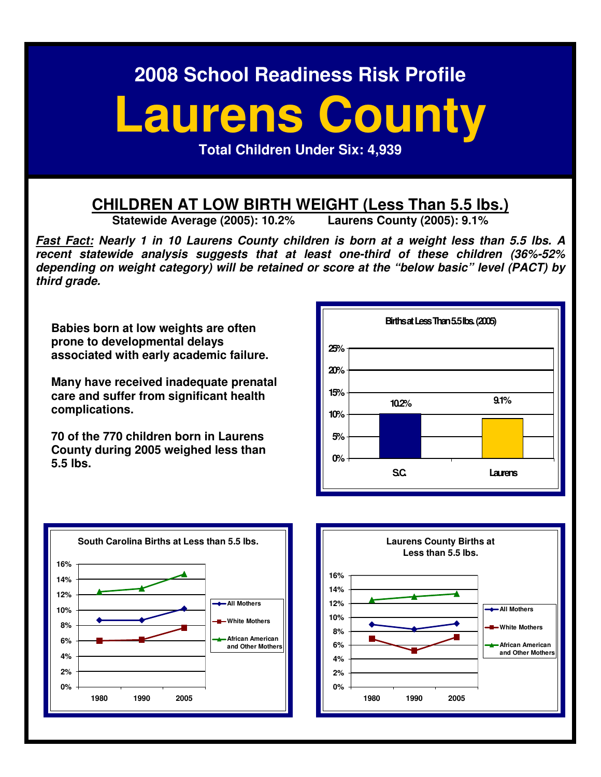## **Laurens County**

**Total Children Under Six: 4,939** 

## **CHILDREN AT LOW BIRTH WEIGHT (Less Than 5.5 lbs.)**<br>Statewide Average (2005): 10.2% Laurens County (2005): 9.1%

**Statewide Average (2005): 10.2%** 

**Fast Fact: Nearly 1 in 10 Laurens County children is born at a weight less than 5.5 lbs. A recent statewide analysis suggests that at least one-third of these children (36%-52% depending on weight category) will be retained or score at the "below basic" level (PACT) by third grade.** 

**Babies born at low weights are often prone to developmental delays associated with early academic failure.** 

**Many have received inadequate prenatal care and suffer from significant health complications.** 

**70 of the 770 children born in Laurens County during 2005 weighed less than 5.5 lbs.** 





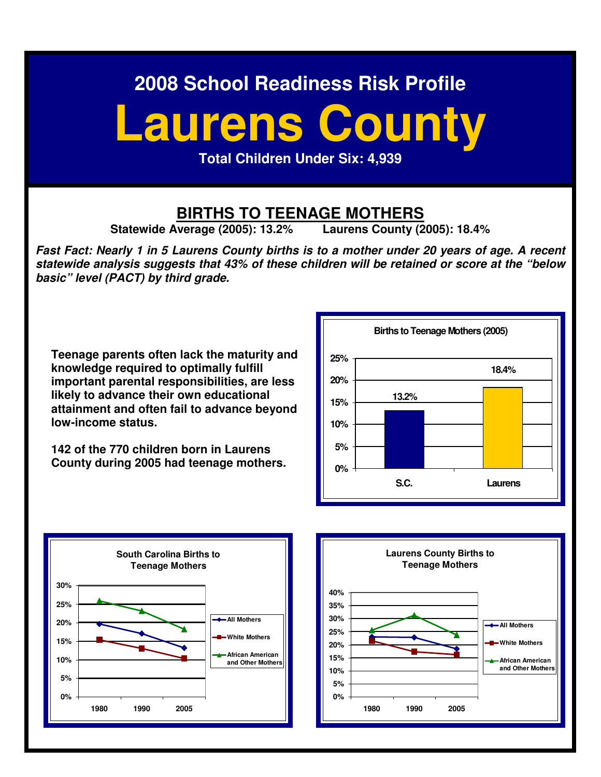# **Laurens County**

**Total Children Under Six: 4,939** 

## **BIRTHS TO TEENAGE MOTHERS**<br>Verage (2005): 13.2% Laurens County (2005): 18.4%

**Statewide Average (2005): 13.2%** 

**Fast Fact: Nearly 1 in 5 Laurens County births is to a mother under 20 years of age. A recent statewide analysis suggests that 43% of these children will be retained or score at the "below basic" level (PACT) by third grade.** 

**Teenage parents often lack the maturity and knowledge required to optimally fulfill important parental responsibilities, are less likely to advance their own educational attainment and often fail to advance beyond low-income status.** 

**142 of the 770 children born in Laurens County during 2005 had teenage mothers.**